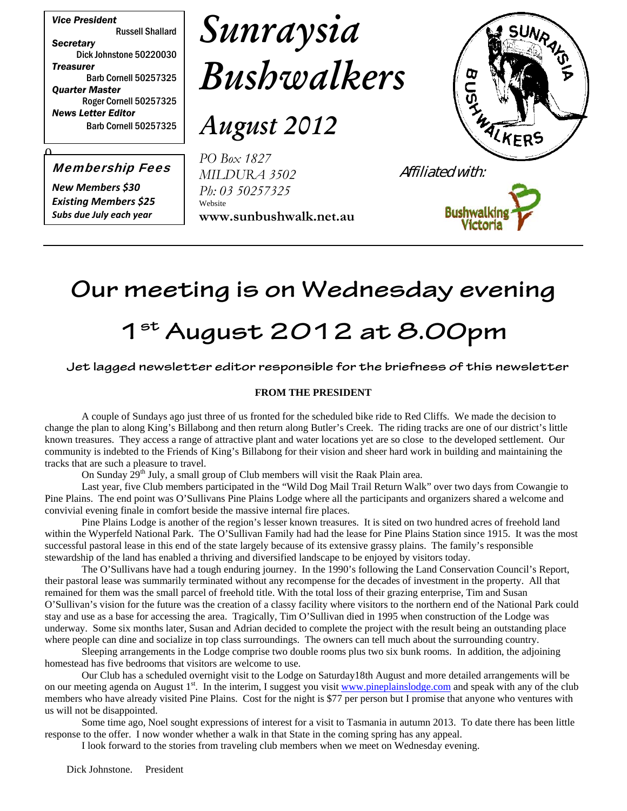*Vice President* Russell Shallard *Secretary* Dick Johnstone 50220030 *Treasurer* Barb Cornell 50257325 *Quarter Master* Roger Cornell 50257325 *News Letter Editor* Barb Cornell 50257325

# *Sunraysia Bushwalkers*

*August 2012*

Membership Fees

 $\mathbf{a}$ 

*New Members \$30 Existing Members \$25 Subs due July each year*





**Bushwalki** 

### **Our meeting is on Wednesday evening**

## **1st August 2012 at 8.00pm**

#### **Jet lagged newsletter editor responsible for the briefness of this newsletter**

#### **FROM THE PRESIDENT**

A couple of Sundays ago just three of us fronted for the scheduled bike ride to Red Cliffs. We made the decision to change the plan to along King's Billabong and then return along Butler's Creek. The riding tracks are one of our district's little known treasures. They access a range of attractive plant and water locations yet are so close to the developed settlement. Our community is indebted to the Friends of King's Billabong for their vision and sheer hard work in building and maintaining the tracks that are such a pleasure to travel.

On Sunday  $29<sup>th</sup>$  July, a small group of Club members will visit the Raak Plain area.

Last year, five Club members participated in the "Wild Dog Mail Trail Return Walk" over two days from Cowangie to Pine Plains. The end point was O'Sullivans Pine Plains Lodge where all the participants and organizers shared a welcome and convivial evening finale in comfort beside the massive internal fire places.

Pine Plains Lodge is another of the region's lesser known treasures. It is sited on two hundred acres of freehold land within the Wyperfeld National Park. The O'Sullivan Family had had the lease for Pine Plains Station since 1915. It was the most successful pastoral lease in this end of the state largely because of its extensive grassy plains. The family's responsible stewardship of the land has enabled a thriving and diversified landscape to be enjoyed by visitors today.

The O'Sullivans have had a tough enduring journey. In the 1990's following the Land Conservation Council's Report, their pastoral lease was summarily terminated without any recompense for the decades of investment in the property. All that remained for them was the small parcel of freehold title. With the total loss of their grazing enterprise, Tim and Susan O'Sullivan's vision for the future was the creation of a classy facility where visitors to the northern end of the National Park could stay and use as a base for accessing the area. Tragically, Tim O'Sullivan died in 1995 when construction of the Lodge was underway. Some six months later, Susan and Adrian decided to complete the project with the result being an outstanding place where people can dine and socialize in top class surroundings. The owners can tell much about the surrounding country.

Sleeping arrangements in the Lodge comprise two double rooms plus two six bunk rooms. In addition, the adjoining homestead has five bedrooms that visitors are welcome to use.

Our Club has a scheduled overnight visit to the Lodge on Saturday18th August and more detailed arrangements will be on our meeting agenda on August 1<sup>st</sup>. In the interim, I suggest you visit www.pineplainslodge.com and speak with any of the club members who have already visited Pine Plains. Cost for the night is \$77 per person but I promise that anyone who ventures with us will not be disappointed.

Some time ago, Noel sought expressions of interest for a visit to Tasmania in autumn 2013. To date there has been little response to the offer. I now wonder whether a walk in that State in the coming spring has any appeal.

I look forward to the stories from traveling club members when we meet on Wednesday evening.